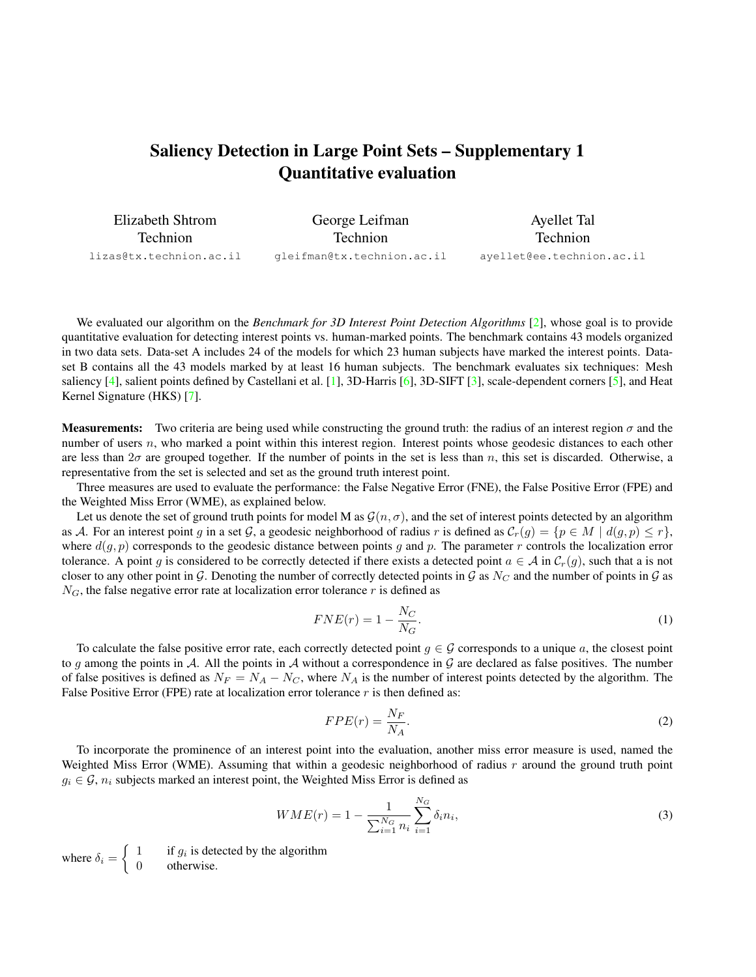## <span id="page-0-0"></span>Saliency Detection in Large Point Sets – Supplementary 1 Quantitative evaluation

| Elizabeth Shtrom        | George Leifman             | Ayellet Tal               |
|-------------------------|----------------------------|---------------------------|
| <b>Technion</b>         | <b>Technion</b>            | <b>Technion</b>           |
| lizas@tx.technion.ac.il | gleifman@tx.technion.ac.il | ayellet@ee.technion.ac.il |

We evaluated our algorithm on the *Benchmark for 3D Interest Point Detection Algorithms* [\[2\]](#page-1-0), whose goal is to provide quantitative evaluation for detecting interest points vs. human-marked points. The benchmark contains 43 models organized in two data sets. Data-set A includes 24 of the models for which 23 human subjects have marked the interest points. Dataset B contains all the 43 models marked by at least 16 human subjects. The benchmark evaluates six techniques: Mesh saliency [\[4\]](#page-1-1), salient points defined by Castellani et al. [\[1\]](#page-1-2), 3D-Harris [\[6\]](#page-1-3), 3D-SIFT [\[3\]](#page-1-4), scale-dependent corners [\[5\]](#page-1-5), and Heat Kernel Signature (HKS) [\[7\]](#page-1-6).

**Measurements:** Two criteria are being used while constructing the ground truth: the radius of an interest region  $\sigma$  and the number of users n, who marked a point within this interest region. Interest points whose geodesic distances to each other are less than  $2\sigma$  are grouped together. If the number of points in the set is less than n, this set is discarded. Otherwise, a representative from the set is selected and set as the ground truth interest point.

Three measures are used to evaluate the performance: the False Negative Error (FNE), the False Positive Error (FPE) and the Weighted Miss Error (WME), as explained below.

Let us denote the set of ground truth points for model M as  $\mathcal{G}(n, \sigma)$ , and the set of interest points detected by an algorithm as A. For an interest point g in a set G, a geodesic neighborhood of radius r is defined as  $C_r(g) = \{p \in M \mid d(g, p) \leq r\}$ , where  $d(q, p)$  corresponds to the geodesic distance between points q and p. The parameter r controls the localization error tolerance. A point g is considered to be correctly detected if there exists a detected point  $a \in A$  in  $\mathcal{C}_r(g)$ , such that a is not closer to any other point in G. Denoting the number of correctly detected points in G as  $N_C$  and the number of points in G as  $N_G$ , the false negative error rate at localization error tolerance r is defined as

$$
FNE(r) = 1 - \frac{N_C}{N_G}.\tag{1}
$$

To calculate the false positive error rate, each correctly detected point  $g \in \mathcal{G}$  corresponds to a unique a, the closest point to g among the points in A. All the points in A without a correspondence in  $\mathcal G$  are declared as false positives. The number of false positives is defined as  $N_F = N_A - N_C$ , where  $N_A$  is the number of interest points detected by the algorithm. The False Positive Error (FPE) rate at localization error tolerance  $r$  is then defined as:

$$
FPE(r) = \frac{N_F}{N_A}.\tag{2}
$$

To incorporate the prominence of an interest point into the evaluation, another miss error measure is used, named the Weighted Miss Error (WME). Assuming that within a geodesic neighborhood of radius  $r$  around the ground truth point  $g_i \in \mathcal{G}$ ,  $n_i$  subjects marked an interest point, the Weighted Miss Error is defined as

$$
WME(r) = 1 - \frac{1}{\sum_{i=1}^{N_G} n_i} \sum_{i=1}^{N_G} \delta_i n_i,
$$
\n(3)

where  $\delta_i = \begin{cases} 1 & \text{if } g_i \text{ is detected by the algorithm} \\ 0 & \text{otherwise} \end{cases}$ 0 otherwise.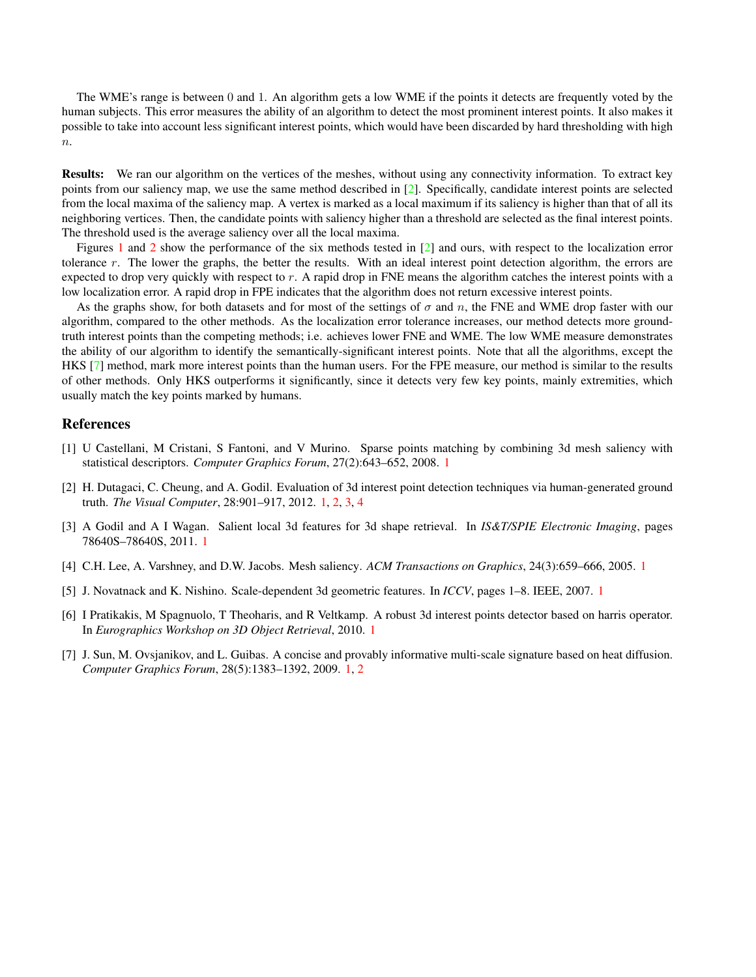<span id="page-1-7"></span>The WME's range is between 0 and 1. An algorithm gets a low WME if the points it detects are frequently voted by the human subjects. This error measures the ability of an algorithm to detect the most prominent interest points. It also makes it possible to take into account less significant interest points, which would have been discarded by hard thresholding with high  $n$ .

Results: We ran our algorithm on the vertices of the meshes, without using any connectivity information. To extract key points from our saliency map, we use the same method described in [\[2\]](#page-1-0). Specifically, candidate interest points are selected from the local maxima of the saliency map. A vertex is marked as a local maximum if its saliency is higher than that of all its neighboring vertices. Then, the candidate points with saliency higher than a threshold are selected as the final interest points. The threshold used is the average saliency over all the local maxima.

Figures [1](#page-2-0) and [2](#page-3-0) show the performance of the six methods tested in [\[2\]](#page-1-0) and ours, with respect to the localization error tolerance r. The lower the graphs, the better the results. With an ideal interest point detection algorithm, the errors are expected to drop very quickly with respect to r. A rapid drop in FNE means the algorithm catches the interest points with a low localization error. A rapid drop in FPE indicates that the algorithm does not return excessive interest points.

As the graphs show, for both datasets and for most of the settings of  $\sigma$  and n, the FNE and WME drop faster with our algorithm, compared to the other methods. As the localization error tolerance increases, our method detects more groundtruth interest points than the competing methods; i.e. achieves lower FNE and WME. The low WME measure demonstrates the ability of our algorithm to identify the semantically-significant interest points. Note that all the algorithms, except the HKS [\[7\]](#page-1-6) method, mark more interest points than the human users. For the FPE measure, our method is similar to the results of other methods. Only HKS outperforms it significantly, since it detects very few key points, mainly extremities, which usually match the key points marked by humans.

## **References**

- <span id="page-1-2"></span>[1] U Castellani, M Cristani, S Fantoni, and V Murino. Sparse points matching by combining 3d mesh saliency with statistical descriptors. *Computer Graphics Forum*, 27(2):643–652, 2008. [1](#page-0-0)
- <span id="page-1-0"></span>[2] H. Dutagaci, C. Cheung, and A. Godil. Evaluation of 3d interest point detection techniques via human-generated ground truth. *The Visual Computer*, 28:901–917, 2012. [1,](#page-0-0) [2,](#page-1-7) [3,](#page-2-1) [4](#page-3-1)
- <span id="page-1-4"></span>[3] A Godil and A I Wagan. Salient local 3d features for 3d shape retrieval. In *IS&T/SPIE Electronic Imaging*, pages 78640S–78640S, 2011. [1](#page-0-0)
- <span id="page-1-1"></span>[4] C.H. Lee, A. Varshney, and D.W. Jacobs. Mesh saliency. *ACM Transactions on Graphics*, 24(3):659–666, 2005. [1](#page-0-0)
- <span id="page-1-5"></span>[5] J. Novatnack and K. Nishino. Scale-dependent 3d geometric features. In *ICCV*, pages 1–8. IEEE, 2007. [1](#page-0-0)
- <span id="page-1-3"></span>[6] I Pratikakis, M Spagnuolo, T Theoharis, and R Veltkamp. A robust 3d interest points detector based on harris operator. In *Eurographics Workshop on 3D Object Retrieval*, 2010. [1](#page-0-0)
- <span id="page-1-6"></span>[7] J. Sun, M. Ovsjanikov, and L. Guibas. A concise and provably informative multi-scale signature based on heat diffusion. *Computer Graphics Forum*, 28(5):1383–1392, 2009. [1,](#page-0-0) [2](#page-1-7)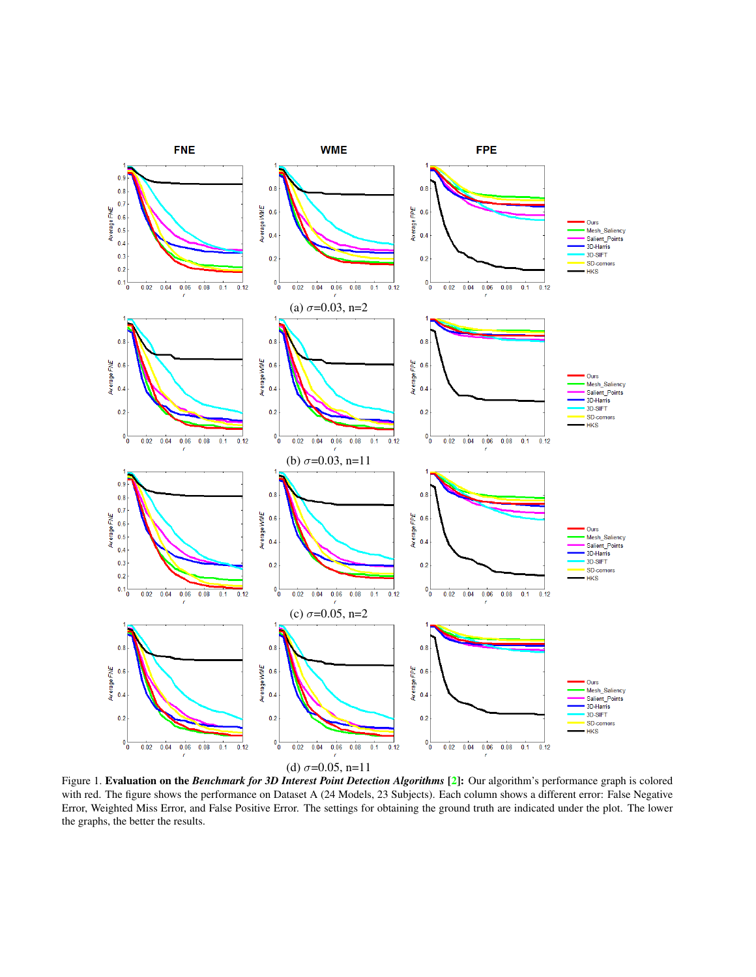<span id="page-2-1"></span>

<span id="page-2-0"></span>Figure 1. Evaluation on the *Benchmark for 3D Interest Point Detection Algorithms* [\[2\]](#page-1-0): Our algorithm's performance graph is colored with red. The figure shows the performance on Dataset A (24 Models, 23 Subjects). Each column shows a different error: False Negative Error, Weighted Miss Error, and False Positive Error. The settings for obtaining the ground truth are indicated under the plot. The lower the graphs, the better the results.